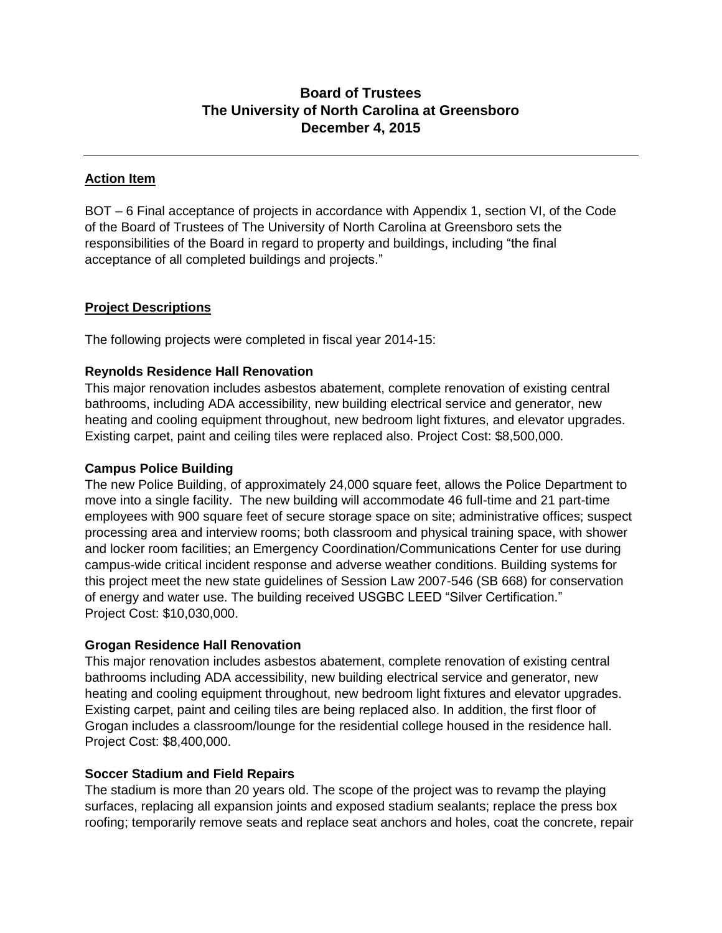# **Board of Trustees The University of North Carolina at Greensboro December 4, 2015**

## **Action Item**

BOT – 6 Final acceptance of projects in accordance with Appendix 1, section VI, of the Code of the Board of Trustees of The University of North Carolina at Greensboro sets the responsibilities of the Board in regard to property and buildings, including "the final acceptance of all completed buildings and projects."

#### **Project Descriptions**

The following projects were completed in fiscal year 2014-15:

## **Reynolds Residence Hall Renovation**

This major renovation includes asbestos abatement, complete renovation of existing central bathrooms, including ADA accessibility, new building electrical service and generator, new heating and cooling equipment throughout, new bedroom light fixtures, and elevator upgrades. Existing carpet, paint and ceiling tiles were replaced also. Project Cost: \$8,500,000.

#### **Campus Police Building**

The new Police Building, of approximately 24,000 square feet, allows the Police Department to move into a single facility. The new building will accommodate 46 full-time and 21 part-time employees with 900 square feet of secure storage space on site; administrative offices; suspect processing area and interview rooms; both classroom and physical training space, with shower and locker room facilities; an Emergency Coordination/Communications Center for use during campus-wide critical incident response and adverse weather conditions. Building systems for this project meet the new state guidelines of Session Law 2007-546 (SB 668) for conservation of energy and water use. The building received USGBC LEED "Silver Certification." Project Cost: \$10,030,000.

#### **Grogan Residence Hall Renovation**

This major renovation includes asbestos abatement, complete renovation of existing central bathrooms including ADA accessibility, new building electrical service and generator, new heating and cooling equipment throughout, new bedroom light fixtures and elevator upgrades. Existing carpet, paint and ceiling tiles are being replaced also. In addition, the first floor of Grogan includes a classroom/lounge for the residential college housed in the residence hall. Project Cost: \$8,400,000.

#### **Soccer Stadium and Field Repairs**

The stadium is more than 20 years old. The scope of the project was to revamp the playing surfaces, replacing all expansion joints and exposed stadium sealants; replace the press box roofing; temporarily remove seats and replace seat anchors and holes, coat the concrete, repair